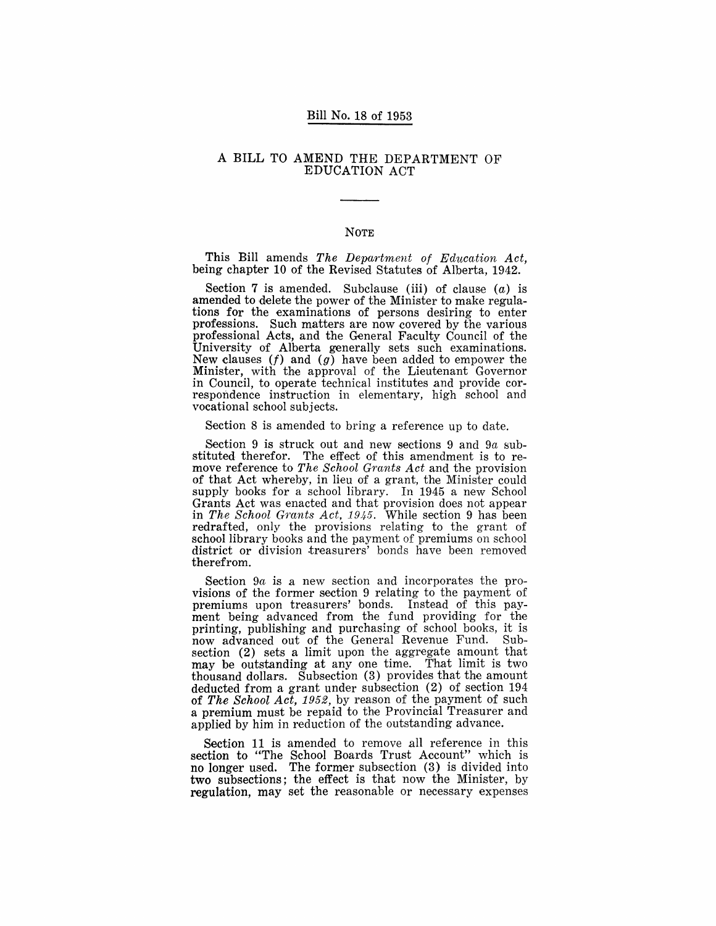### Bill No. 18 of 1953

### A BILL TO AMEND THE DEPARTMENT OF EDUCATION ACT

### NOTE

This Bill amends *The Department of Education Act,*  being chapter 10 of the Revised Statutes of Alberta, 1942.

Section 7 is amended. Subclause (iii) of clause  $(a)$  is amended to delete the power of the Minister to make regulations for the examinations of persons desiring to enter professions. Such matters are now covered by the various professional Acts, and the General Faculty Council of the University of Alberta generally sets such examinations. New clauses  $(f)$  and  $(g)$  have been added to empower the Minister, with the approval of the Lieutenant Governor in Council, to operate technical institutes and provide correspondence instruction in elementary, high school and vocational school subjects.

Section 8 is amended to bring a reference up to date.

Section 9 is struck out and new sections 9 and  $9a$  substituted therefor. The effect of this amendment is to remove reference to *The School Grants Act* and the provision of that Act whereby, in lieu of a grant, the Minister could supply books for a school library. In 1945 a new School Grants Act was enacted and that provision does not appear in *The School Grants Act, 1945*. While section 9 has been redrafted, only the provisions relating to the grant of school library books and the payment of premiums on school district or division .treasurers' bonds have been removed therefrom.

Section 9a is a new section and incorporates the provisions of the former section 9 relating to the payment of premiums upon treasurers' bonds. Instead of this payment being advanced from the fund providing for the printing, publishing and purchasing of school books, it is now advanced out of the General Revenue Fund. Subsection (2) sets a limit upon the aggregate amount that may be outstanding at anyone time. That limit is two thousand dollars. Subsection (3) provides that the amount deducted from a grant under subsection (2) of section 194 of *The School Act,* 1952, by reason of the payment of such a premium must be repaid to the Provincial Treasurer and applied by him in reduction of the outstanding advance.

Section 11 is amended to remove all reference in this section to "The School Boards Trust Account" which is no longer used. The former subsection (3) is divided into two subsections; the effect is that now the Minister, by regulation, may set the reasonable or necessary expenses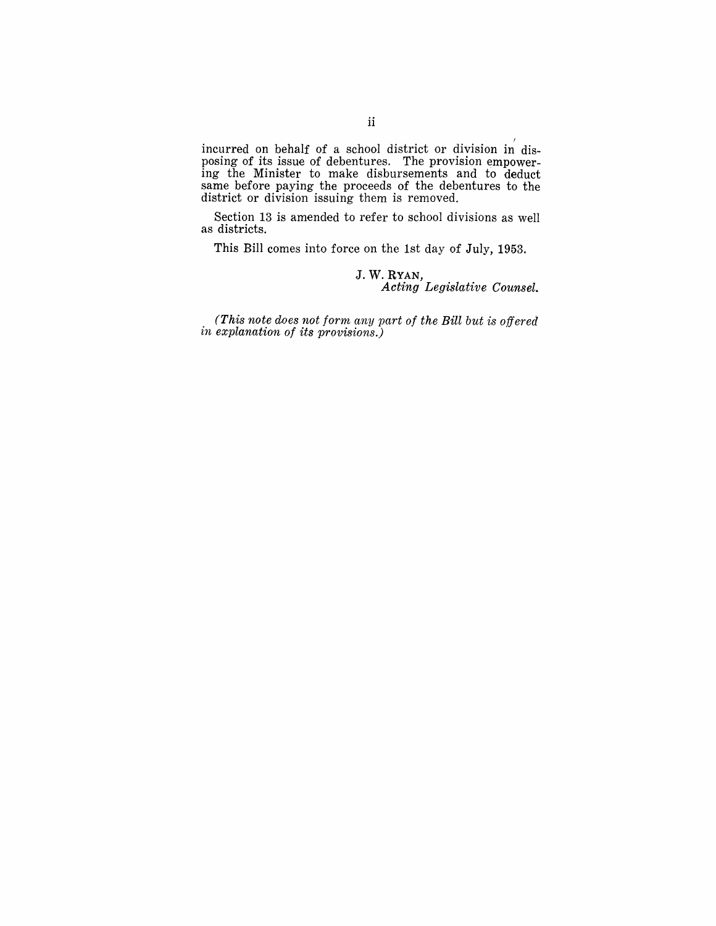incurred on behalf of a school district or division in disposing of its issue of debentures. The provision empowering the Minister to make disbursements and to deduct same before paying the proceeds of the debentures to the district or division issuing them is removed.

Section 13 is amended to refer to school divisions as well as districts.

This Bill comes into force on the 1st day of July, 1953.

### J. W. RYAN, *Acting Legislative Counsel.*

*(This note does not form any part of the Bill but is offered in explanation of its provisions.)*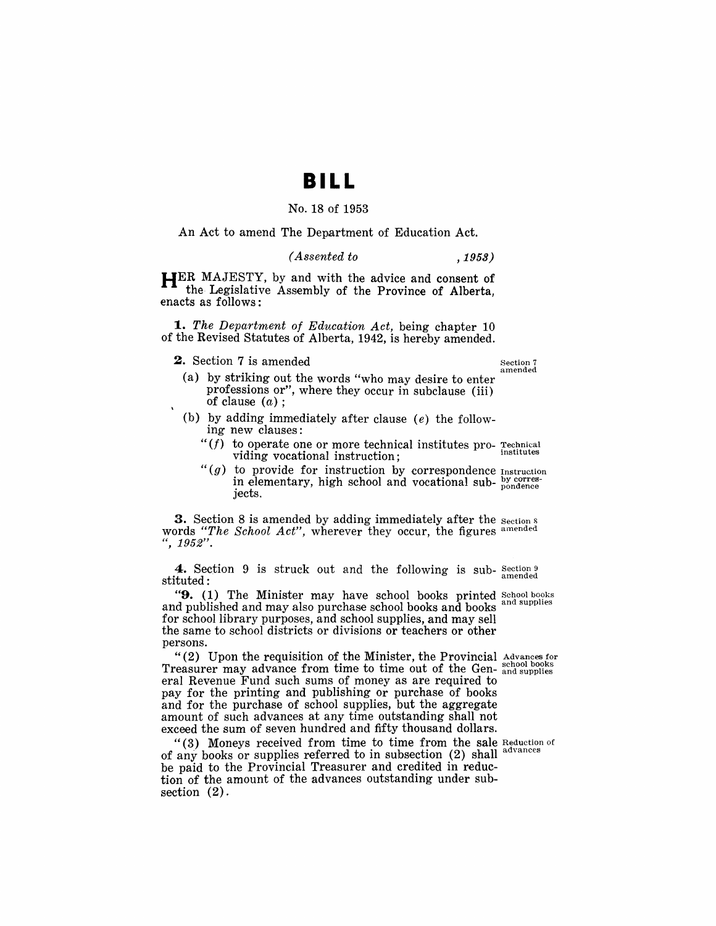## **BILL**

### No. 18 of 1953

An Act to amend The Department of Education Act.

#### *( Assented to* ,1953)

**HER** MAJESTY, by and with the advice and consent of the Legislative Assembly of the Province of Alberta, enacts as follows:

*1. The Department of Education Act,* being chapter 10 of the Revised Statutes of Alberta, 1942, is hereby amended.

**2.** Section 7 is amended  $\sum_{n=1}^{\infty}$  Section 7

amended

- (a) by striking out the words "who may desire to enter professions or", where they occur in subclause (iii) of clause  $(a)$ :
- (b) by adding immediately after clause  $(e)$  the following new clauses:
	- $f'(f)$  to operate one or more technical institutes pro-  $r_{\text{rechnical}}$ viding vocational instruction;
	- " $(g)$  to provide for instruction by correspondence Instruction in elementary, high school and vocational sub- $_{\rm{nondence}}^{\rm{by~corres}}$ jects.

3. Section 8 is amended by adding immediately after the section & words *"The School Act",* wherever they occur, the figures amended ", 1952".

**4.** Section 9 is struck out and the following is sub- $\frac{\text{Section 9}}{\text{amended}}$ 

" $9. (1)$  The Minister may have school books printed School books and published and may also purchase school books and books for school library purposes, and school supplies, and may sell the same to school districts or divisions or teachers or other persons.

"(2) Upon the requisition of the Minister, the Provincial Advances for Treasurer may advance from time to time out of the Gen- and supplies eral Revenue Fund such sums of money as are required to. pay for the printing and publishing or purchase of books and for the purchase of school supplies, but the aggregate amount of such advances at any time outstanding shall not exceed the sum of seven hundred and fifty thousand dollars.

"(3) Moneys received from time to time from the sale Reduction of  $\sim$ of any books or supplies referred to in subsection  $(2)$  shall be paid to the Provincial Treasurer and credited in reduction of the amount of the advances outstanding under subsection  $(2)$ .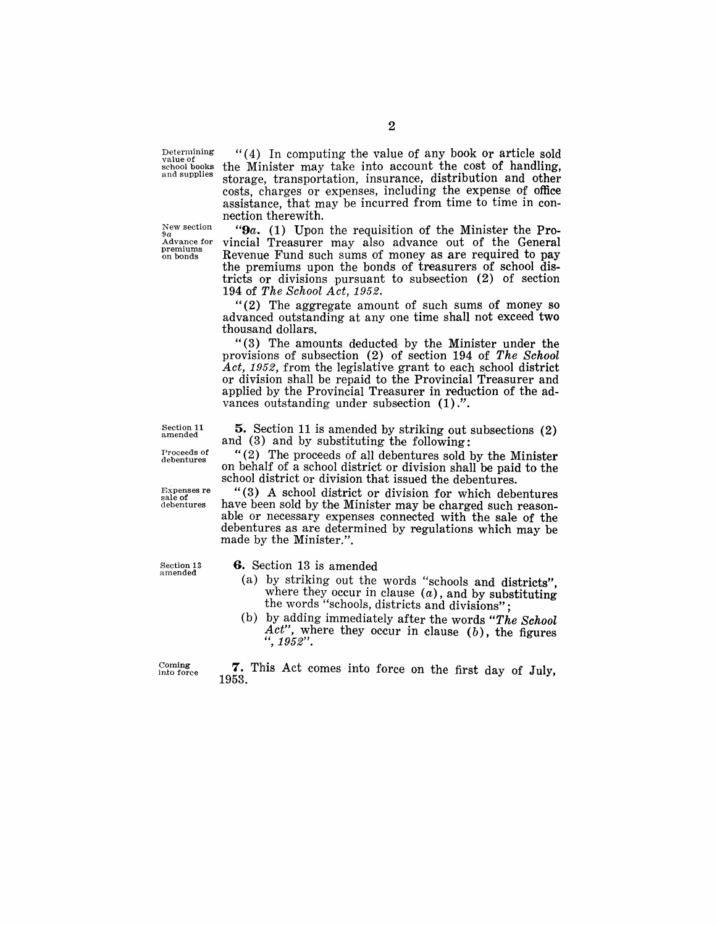Determining value of school books and supplies

New section<br>9*a*<br>Advance for premiums on bonds

"( 4) In computing the value of any book or article sold the Minister may take into account the cost of handling, storage, transportation, insurance, distribution and other costs, charges or expenses, including the expense of office assistance, that may be incurred from time to time in connection therewith.

*"9a.* (1) Upon the requisition of the Minister the Provincial Treasurer may also advance out of the General Revenue Fund such sums of money as are required to pay the premiums upon the bonds of treasurers of school districts or divisions pursuant to subsection  $(2)$  of section 194 of *The School Act, 1952.* 

"(2) The aggregate amount of such sums of money so advanced outstanding at anyone time shall not exceed two thousand dollars.

"(3) The amounts deducted by the Minister under the provisions of subsection (2) of section 194 of *The School*  Act, 1952, from the legislative grant to each school district or division shall be repaid to the Provincial Treasurer and applied by the Provincial Treasurer in reduction of the advances outstanding under subsection  $(1)$ .".

5. Section 11 is amended by striking out subsections (2) and (3) and by substituting the following:

" (2) The proceeds of all debentures sold by the Minister on behalf of a school district or division shall be paid to the school district or division that issued the debentures.

"(3) A school district or division for which debentures have been sold by the Minister may be charged such reasonable or necessary expenses connected with the sale of the debentures as are determined by regulations which may be made by the Minister.".

amended

6. Section 13 is amended

- (a) by striking out the words "schools and districts" where they occur in clause  $(a)$ , and by substituting the words "schools, districts and divisions";<br>
(b) by adding immediately after the words "The School" the words "schools, districts and divisions";<br>(b) by adding immediately after the words "The School
- Act", where they occur in clause (b), the figures ",  $1952$ ".

Coming in.to force

7. This Act comes into force on the first day of July, 1953.

2

Section 11 amended Proceeds of

debentures

Expenses re sale of debentures

Section 13